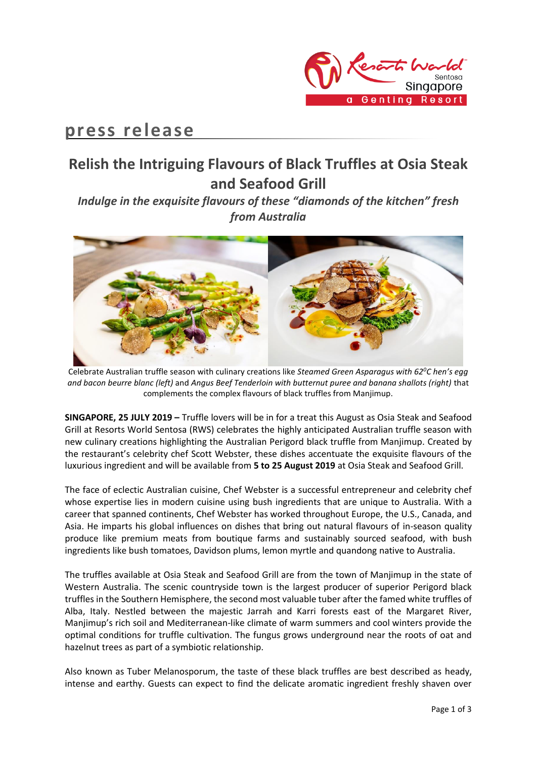

## **press release**

## **Relish the Intriguing Flavours of Black Truffles at Osia Steak and Seafood Grill**

*Indulge in the exquisite flavours of these "diamonds of the kitchen" fresh from Australia*



Celebrate Australian truffle season with culinary creations like *Steamed Green Asparagus with 62<sup>0</sup>C hen's egg and bacon beurre blanc (left)* and *Angus Beef Tenderloin with butternut puree and banana shallots (right)* that complements the complex flavours of black truffles from Manjimup.

**SINGAPORE, 25 JULY 2019 –** Truffle lovers will be in for a treat this August as Osia Steak and Seafood Grill at Resorts World Sentosa (RWS) celebrates the highly anticipated Australian truffle season with new culinary creations highlighting the Australian Perigord black truffle from Manjimup. Created by the restaurant's celebrity chef Scott Webster, these dishes accentuate the exquisite flavours of the luxurious ingredient and will be available from **5 to 25 August 2019** at Osia Steak and Seafood Grill.

The face of eclectic Australian cuisine, Chef Webster is a successful entrepreneur and celebrity chef whose expertise lies in modern cuisine using bush ingredients that are unique to Australia. With a career that spanned continents, Chef Webster has worked throughout Europe, the U.S., Canada, and Asia. He imparts his global influences on dishes that bring out natural flavours of in-season quality produce like premium meats from boutique farms and sustainably sourced seafood, with bush ingredients like bush tomatoes, Davidson plums, lemon myrtle and quandong native to Australia.

The truffles available at Osia Steak and Seafood Grill are from the town of Manjimup in the state of Western Australia. The scenic countryside town is the largest producer of superior Perigord black truffles in the Southern Hemisphere, the second most valuable tuber after the famed white truffles of Alba, Italy. Nestled between the majestic Jarrah and Karri forests east of the Margaret River, Manjimup's rich soil and Mediterranean-like climate of warm summers and cool winters provide the optimal conditions for truffle cultivation. The fungus grows underground near the roots of oat and hazelnut trees as part of a symbiotic relationship.

Also known as Tuber Melanosporum, the taste of these black truffles are best described as heady, intense and earthy. Guests can expect to find the delicate aromatic ingredient freshly shaven over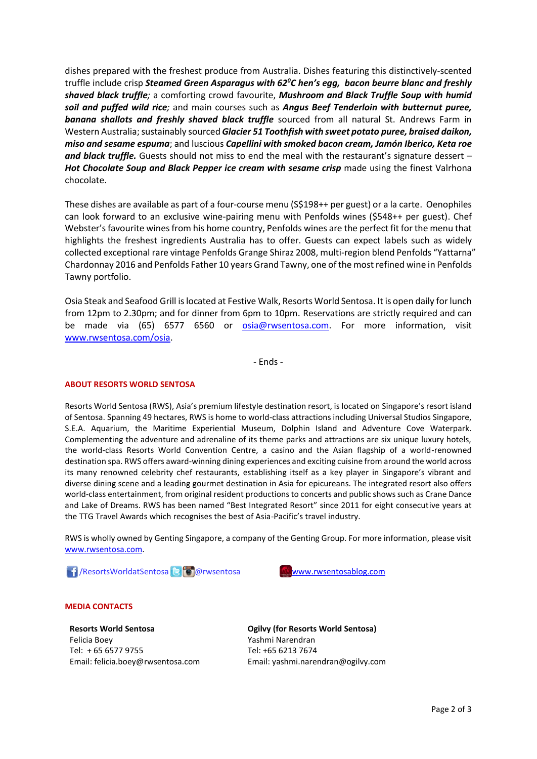dishes prepared with the freshest produce from Australia. Dishes featuring this distinctively-scented truffle include crisp *Steamed Green Asparagus with 62<sup>0</sup>C hen's egg, bacon beurre blanc and freshly shaved black truffle;* a comforting crowd favourite, *Mushroom and Black Truffle Soup with humid soil and puffed wild rice;* and main courses such as *Angus Beef Tenderloin with butternut puree, banana shallots and freshly shaved black truffle* sourced from all natural St. Andrews Farm in Western Australia; sustainably sourced *Glacier 51 Toothfish with sweet potato puree, braised daikon, miso and sesame espuma*; and luscious *Capellini with smoked bacon cream, Jamón Iberico, Keta roe and black truffle.* Guests should not miss to end the meal with the restaurant's signature dessert – Hot Chocolate Soup and Black Pepper ice cream with sesame crisp made using the finest Valrhona chocolate.

These dishes are available as part of a four-course menu (S\$198++ per guest) or a la carte. Oenophiles can look forward to an exclusive wine-pairing menu with Penfolds wines (\$548++ per guest). Chef Webster's favourite wines from his home country, Penfolds wines are the perfect fit for the menu that highlights the freshest ingredients Australia has to offer. Guests can expect labels such as widely collected exceptional rare vintage Penfolds Grange Shiraz 2008, multi-region blend Penfolds "Yattarna" Chardonnay 2016 and Penfolds Father 10 years Grand Tawny, one of the most refined wine in Penfolds Tawny portfolio.

Osia Steak and Seafood Grill is located at Festive Walk, Resorts World Sentosa. It is open daily for lunch from 12pm to 2.30pm; and for dinner from 6pm to 10pm. Reservations are strictly required and can be made via (65) 6577 6560 or [osia@rwsentosa.com.](mailto:osia@rwsentosa.com) For more information, visit [www.rwsentosa.com/osia.](http://www.rwsentosa.com/osia)

- Ends -

## **ABOUT RESORTS WORLD SENTOSA**

Resorts World Sentosa (RWS), Asia's premium lifestyle destination resort, is located on Singapore's resort island of Sentosa. Spanning 49 hectares, RWS is home to world-class attractions including Universal Studios Singapore, S.E.A. Aquarium, the Maritime Experiential Museum, Dolphin Island and Adventure Cove Waterpark. Complementing the adventure and adrenaline of its theme parks and attractions are six unique luxury hotels, the world-class Resorts World Convention Centre, a casino and the Asian flagship of a world-renowned destination spa. RWS offers award-winning dining experiences and exciting cuisine from around the world across its many renowned celebrity chef restaurants, establishing itself as a key player in Singapore's vibrant and diverse dining scene and a leading gourmet destination in Asia for epicureans. The integrated resort also offers world-class entertainment, from original resident productions to concerts and public shows such as Crane Dance and Lake of Dreams. RWS has been named "Best Integrated Resort" since 2011 for eight consecutive years at the TTG Travel Awards which recognises the best of Asia-Pacific's travel industry.

RWS is wholly owned by Genting Singapore, a company of the Genting Group. For more information, please visit [www.rwsentosa.com.](http://www.rwsentosa.com/)

**11** / ResortsWorldatSentosa & **C @**rwsentosa [www.rwsentosablog.com](http://www.rwsentosablog.com/)



**MEDIA CONTACTS**

**Resorts World Sentosa** Felicia Boey Tel: + 65 6577 9755 Email: felicia.boey@rwsentosa.com **Ogilvy (for Resorts World Sentosa)** Yashmi Narendran Tel: +65 6213 7674 Email: yashmi.narendran@ogilvy.com